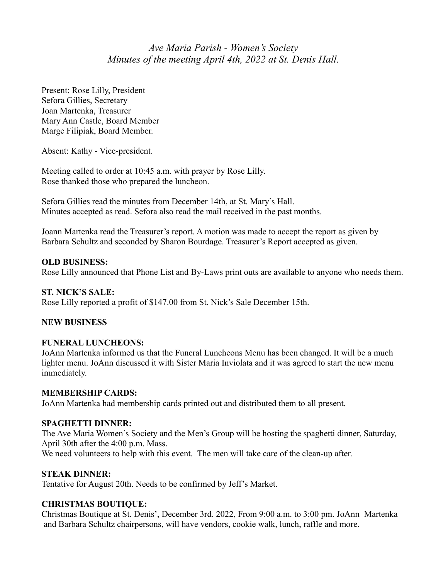# *Ave Maria Parish - Women's Society Minutes of the meeting April 4th, 2022 at St. Denis Hall.*

Present: Rose Lilly, President Sefora Gillies, Secretary Joan Martenka, Treasurer Mary Ann Castle, Board Member Marge Filipiak, Board Member.

Absent: Kathy - Vice-president.

Meeting called to order at 10:45 a.m. with prayer by Rose Lilly. Rose thanked those who prepared the luncheon.

Sefora Gillies read the minutes from December 14th, at St. Mary's Hall. Minutes accepted as read. Sefora also read the mail received in the past months.

Joann Martenka read the Treasurer's report. A motion was made to accept the report as given by Barbara Schultz and seconded by Sharon Bourdage. Treasurer's Report accepted as given.

# **OLD BUSINESS:**

Rose Lilly announced that Phone List and By-Laws print outs are available to anyone who needs them.

# **ST. NICK'S SALE:**

Rose Lilly reported a profit of \$147.00 from St. Nick's Sale December 15th.

# **NEW BUSINESS**

# **FUNERAL LUNCHEONS:**

JoAnn Martenka informed us that the Funeral Luncheons Menu has been changed. It will be a much lighter menu. JoAnn discussed it with Sister Maria Inviolata and it was agreed to start the new menu immediately.

#### **MEMBERSHIP CARDS:**

JoAnn Martenka had membership cards printed out and distributed them to all present.

#### **SPAGHETTI DINNER:**

The Ave Maria Women's Society and the Men's Group will be hosting the spaghetti dinner, Saturday, April 30th after the 4:00 p.m. Mass.

We need volunteers to help with this event. The men will take care of the clean-up after.

# **STEAK DINNER:**

Tentative for August 20th. Needs to be confirmed by Jeff's Market.

# **CHRISTMAS BOUTIQUE:**

Christmas Boutique at St. Denis', December 3rd. 2022, From 9:00 a.m. to 3:00 pm. JoAnn Martenka and Barbara Schultz chairpersons, will have vendors, cookie walk, lunch, raffle and more.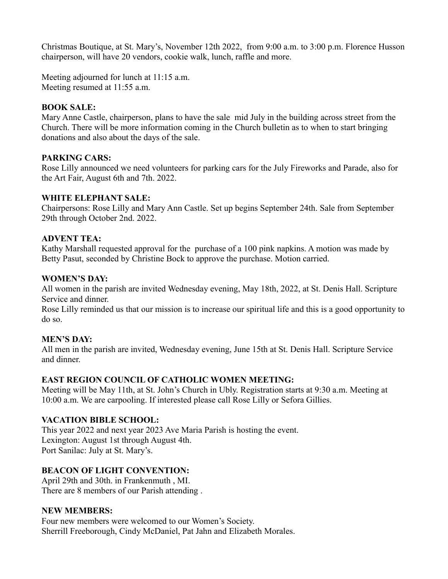Christmas Boutique, at St. Mary's, November 12th 2022, from 9:00 a.m. to 3:00 p.m. Florence Husson chairperson, will have 20 vendors, cookie walk, lunch, raffle and more.

Meeting adjourned for lunch at 11:15 a.m. Meeting resumed at 11:55 a.m.

## **BOOK SALE:**

Mary Anne Castle, chairperson, plans to have the sale mid July in the building across street from the Church. There will be more information coming in the Church bulletin as to when to start bringing donations and also about the days of the sale.

## **PARKING CARS:**

Rose Lilly announced we need volunteers for parking cars for the July Fireworks and Parade, also for the Art Fair, August 6th and 7th. 2022.

## **WHITE ELEPHANT SALE:**

Chairpersons: Rose Lilly and Mary Ann Castle. Set up begins September 24th. Sale from September 29th through October 2nd. 2022.

## **ADVENT TEA:**

Kathy Marshall requested approval for the purchase of a 100 pink napkins. A motion was made by Betty Pasut, seconded by Christine Bock to approve the purchase. Motion carried.

#### **WOMEN'S DAY:**

All women in the parish are invited Wednesday evening, May 18th, 2022, at St. Denis Hall. Scripture Service and dinner.

Rose Lilly reminded us that our mission is to increase our spiritual life and this is a good opportunity to do so.

# **MEN'S DAY:**

All men in the parish are invited, Wednesday evening, June 15th at St. Denis Hall. Scripture Service and dinner.

# **EAST REGION COUNCIL OF CATHOLIC WOMEN MEETING:**

Meeting will be May 11th, at St. John's Church in Ubly. Registration starts at 9:30 a.m. Meeting at 10:00 a.m. We are carpooling. If interested please call Rose Lilly or Sefora Gillies.

# **VACATION BIBLE SCHOOL:**

This year 2022 and next year 2023 Ave Maria Parish is hosting the event. Lexington: August 1st through August 4th. Port Sanilac: July at St. Mary's.

# **BEACON OF LIGHT CONVENTION:**

April 29th and 30th. in Frankenmuth , MI. There are 8 members of our Parish attending .

# **NEW MEMBERS:**

Four new members were welcomed to our Women's Society. Sherrill Freeborough, Cindy McDaniel, Pat Jahn and Elizabeth Morales.